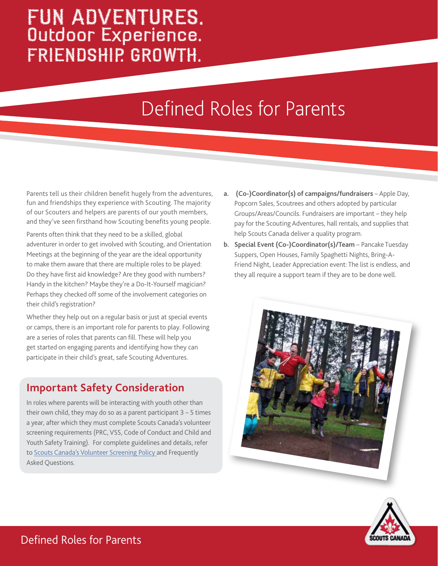## FUN ADVENTURES. Outdoor Experience. FRIENDSHIP. GROWTH.

## Defined Roles for Parents

Parents tell us their children benefit hugely from the adventures, fun and friendships they experience with Scouting. The majority of our Scouters and helpers are parents of our youth members, and they've seen firsthand how Scouting benefits young people.

Parents often think that they need to be a skilled, global adventurer in order to get involved with Scouting, and Orientation Meetings at the beginning of the year are the ideal opportunity to make them aware that there are multiple roles to be played: Do they have first aid knowledge? Are they good with numbers? Handy in the kitchen? Maybe they're a Do-It-Yourself magician? Perhaps they checked off some of the involvement categories on their child's registration?

Whether they help out on a regular basis or just at special events or camps, there is an important role for parents to play. Following are a series of roles that parents can fill. These will help you get started on engaging parents and identifying how they can participate in their child's great, safe Scouting Adventures.

## **Important Safety Consideration**

In roles where parents will be interacting with youth other than their own child, they may do so as a parent participant  $3 - 5$  times a year, after which they must complete Scouts Canada's volunteer screening requirements (PRC, VSS, Code of Conduct and Child and Youth Safety Training). For complete guidelines and details, refer to Scouts Canada's Volunteer Screening Policy and Frequently Asked Questions.

- **a. (Co-)Coordinator(s) of campaigns/fundraisers** Apple Day, Popcorn Sales, Scoutrees and others adopted by particular Groups/Areas/Councils. Fundraisers are important – they help pay for the Scouting Adventures, hall rentals, and supplies that help Scouts Canada deliver a quality program.
- **b. Special Event (Co-)Coordinator(s)/Team** Pancake Tuesday Suppers, Open Houses, Family Spaghetti Nights, Bring-A-Friend Night, Leader Appreciation event: The list is endless, and they all require a support team if they are to be done well.